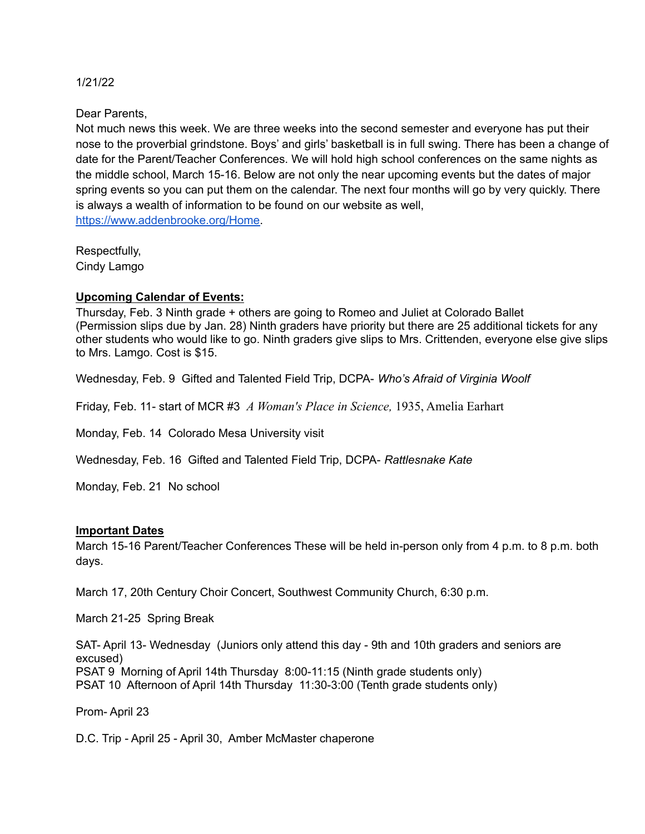1/21/22

Dear Parents,

Not much news this week. We are three weeks into the second semester and everyone has put their nose to the proverbial grindstone. Boys' and girls' basketball is in full swing. There has been a change of date for the Parent/Teacher Conferences. We will hold high school conferences on the same nights as the middle school, March 15-16. Below are not only the near upcoming events but the dates of major spring events so you can put them on the calendar. The next four months will go by very quickly. There is always a wealth of information to be found on our website as well, [https://www.addenbrooke.org/Home.](https://www.addenbrooke.org/Home)

Respectfully, Cindy Lamgo

## **Upcoming Calendar of Events:**

Thursday, Feb. 3 Ninth grade + others are going to Romeo and Juliet at Colorado Ballet (Permission slips due by Jan. 28) Ninth graders have priority but there are 25 additional tickets for any other students who would like to go. Ninth graders give slips to Mrs. Crittenden, everyone else give slips to Mrs. Lamgo. Cost is \$15.

Wednesday, Feb. 9 Gifted and Talented Field Trip, DCPA- *Who's Afraid of Virginia Woolf*

Friday, Feb. 11- start of MCR #3 *A Woman's Place in Science,* 1935, Amelia Earhart

Monday, Feb. 14 Colorado Mesa University visit

Wednesday, Feb. 16 Gifted and Talented Field Trip, DCPA- *Rattlesnake Kate*

Monday, Feb. 21 No school

## **Important Dates**

March 15-16 Parent/Teacher Conferences These will be held in-person only from 4 p.m. to 8 p.m. both days.

March 17, 20th Century Choir Concert, Southwest Community Church, 6:30 p.m.

March 21-25 Spring Break

SAT- April 13- Wednesday (Juniors only attend this day - 9th and 10th graders and seniors are excused)

PSAT 9 Morning of April 14th Thursday 8:00-11:15 (Ninth grade students only) PSAT 10 Afternoon of April 14th Thursday 11:30-3:00 (Tenth grade students only)

Prom- April 23

D.C. Trip - April 25 - April 30, Amber McMaster chaperone